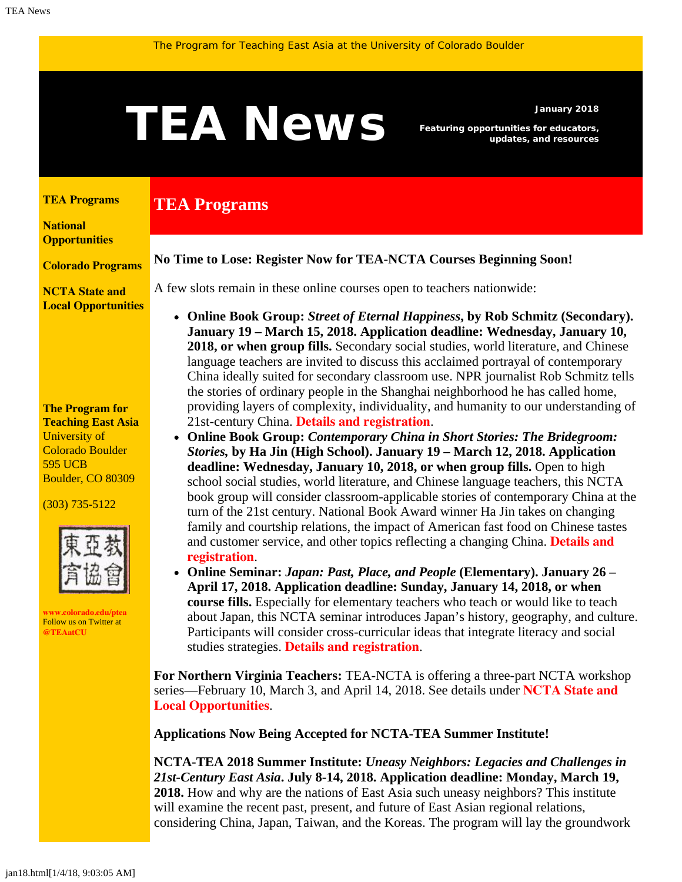# <span id="page-0-1"></span>Featuring opportunities for educators,

**TEA Programs**

*Featuring opportunities for educators, updates, and resources*

#### <span id="page-0-0"></span>**[TEA Programs](#page-0-0)**

**[National](#page-0-1)  [Opportunities](#page-0-1)**

**[Colorado Programs](#page-0-1)**

**[NCTA State and](#page-3-0) [Local Opportunities](#page-3-0)**

#### **The Program for Teaching East Asia** University of Colorado Boulder 595 UCB Boulder, CO 80309

(303) 735-5122



**[www.colorado.edu/ptea](http://www.colorado.edu/cas/tea)** Follow us on Twitter at **[@TEAatCU](https://twitter.com/TEAatCU)**

# A few slots remain in these online courses open to teachers nationwide:

**No Time to Lose: Register Now for TEA-NCTA Courses Beginning Soon!**

- **Online Book Group:** *Street of Eternal Happiness***, by Rob Schmitz (Secondary). January 19 – March 15, 2018. Application deadline: Wednesday, January 10, 2018, or when group fills.** Secondary social studies, world literature, and Chinese language teachers are invited to discuss this acclaimed portrayal of contemporary China ideally suited for secondary classroom use. NPR journalist Rob Schmitz tells the stories of ordinary people in the Shanghai neighborhood he has called home, providing layers of complexity, individuality, and humanity to our understanding of 21st-century China. **[Details and registration](http://www.colorado.edu/ptea/ChinaStreet)**.
- **Online Book Group:** *Contemporary China in Short Stories: The Bridegroom: Stories,* **by Ha Jin (High School). January 19 – March 12, 2018. Application deadline: Wednesday, January 10, 2018, or when group fills.** Open to high school social studies, world literature, and Chinese language teachers, this NCTA book group will consider classroom-applicable stories of contemporary China at the turn of the 21st century. National Book Award winner Ha Jin takes on changing family and courtship relations, the impact of American fast food on Chinese tastes and customer service, and other topics reflecting a changing China. **[Details and](http://www.colorado.edu/ptea/Bridegroom) [registration](http://www.colorado.edu/ptea/Bridegroom)**.
- **Online Seminar:** *Japan: Past, Place, and People* **(Elementary). January 26 – April 17, 2018. Application deadline: Sunday, January 14, 2018, or when course fills.** Especially for elementary teachers who teach or would like to teach about Japan, this NCTA seminar introduces Japan's history, geography, and culture. Participants will consider cross-curricular ideas that integrate literacy and social studies strategies. **[Details and registration](http://www.colorado.edu/ptea/japancourse)**.

**For Northern Virginia Teachers:** TEA-NCTA is offering a three-part NCTA workshop series—February 10, March 3, and April 14, 2018. See details under **[NCTA State and](#page-3-0) [Local Opportunities](#page-3-0)**.

**Applications Now Being Accepted for NCTA-TEA Summer Institute!**

**NCTA-TEA 2018 Summer Institute:** *Uneasy Neighbors: Legacies and Challenges in 21st-Century East Asia***. July 8-14, 2018. Application deadline: Monday, March 19, 2018.** How and why are the nations of East Asia such uneasy neighbors? This institute will examine the recent past, present, and future of East Asian regional relations, considering China, Japan, Taiwan, and the Koreas. The program will lay the groundwork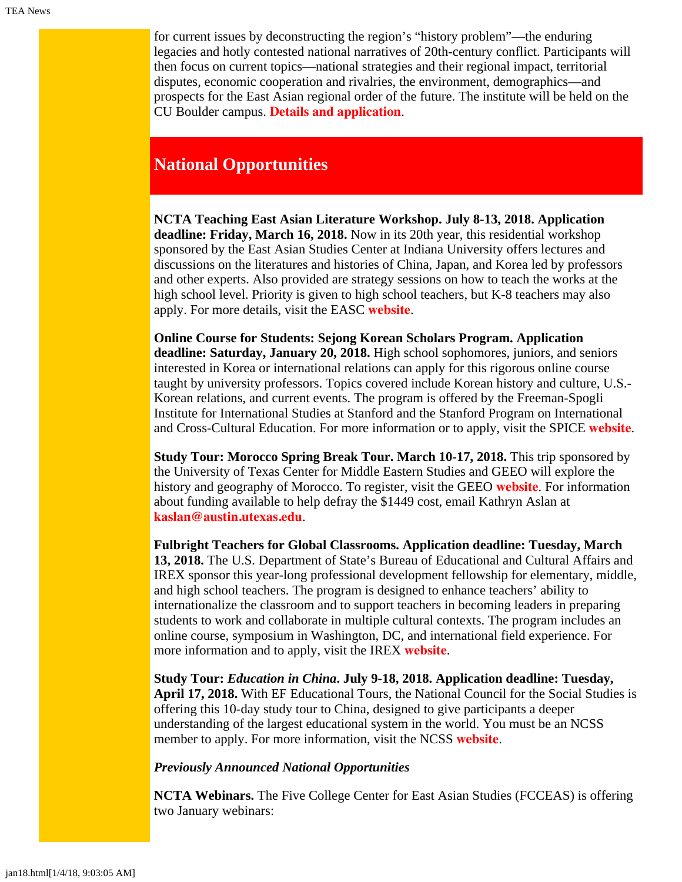for current issues by deconstructing the region's "history problem"—the enduring legacies and hotly contested national narratives of 20th-century conflict. Participants will then focus on current topics—national strategies and their regional impact, territorial disputes, economic cooperation and rivalries, the environment, demographics—and prospects for the East Asian regional order of the future. The institute will be held on the CU Boulder campus. **[Details and application](https://www.colorado.edu/ptea/sites/default/files/attached-files/east_asia_institute_2018_app.pdf)**.

# **National Opportunities**

**NCTA Teaching East Asian Literature Workshop. July 8-13, 2018. Application deadline: Friday, March 16, 2018.** Now in its 20th year, this residential workshop sponsored by the East Asian Studies Center at Indiana University offers lectures and discussions on the literatures and histories of China, Japan, and Korea led by professors and other experts. Also provided are strategy sessions on how to teach the works at the high school level. Priority is given to high school teachers, but K-8 teachers may also apply. For more details, visit the EASC **[website](http://www.indiana.edu/~easc/outreach/educators/literature/index.shtml)**.

**Online Course for Students: Sejong Korean Scholars Program. Application deadline: Saturday, January 20, 2018.** High school sophomores, juniors, and seniors interested in Korea or international relations can apply for this rigorous online course taught by university professors. Topics covered include Korean history and culture, U.S.- Korean relations, and current events. The program is offered by the Freeman-Spogli Institute for International Studies at Stanford and the Stanford Program on International and Cross-Cultural Education. For more information or to apply, visit the SPICE **[website](https://spice.fsi.stanford.edu/fellowships/sejong_korean_scholars_program)**.

**Study Tour: Morocco Spring Break Tour. March 10-17, 2018.** This trip sponsored by the University of Texas Center for Middle Eastern Studies and GEEO will explore the history and geography of Morocco. To register, visit the GEEO **[website](https://www.geeo.org/tours/moroccospring/)**. For information about funding available to help defray the \$1449 cost, email Kathryn Aslan at **[kaslan@austin.utexas.edu](mailto:kaslan@austin.utexas.edu)**.

**Fulbright Teachers for Global Classrooms. Application deadline: Tuesday, March 13, 2018.** The U.S. Department of State's Bureau of Educational and Cultural Affairs and IREX sponsor this year-long professional development fellowship for elementary, middle, and high school teachers. The program is designed to enhance teachers' ability to internationalize the classroom and to support teachers in becoming leaders in preparing students to work and collaborate in multiple cultural contexts. The program includes an online course, symposium in Washington, DC, and international field experience. For more information and to apply, visit the IREX **[website](https://www.irex.org/project/teachers-global-classrooms-program-tgc)**.

**Study Tour:** *Education in China***. July 9-18, 2018. Application deadline: Tuesday, April 17, 2018.** With EF Educational Tours, the National Council for the Social Studies is offering this 10-day study tour to China, designed to give participants a deeper understanding of the largest educational system in the world. You must be an NCSS member to apply. For more information, visit the NCSS **[website](http://www.socialstudies.org/professional-learning/tours)**.

### *Previously Announced National Opportunities*

**NCTA Webinars.** The Five College Center for East Asian Studies (FCCEAS) is offering two January webinars: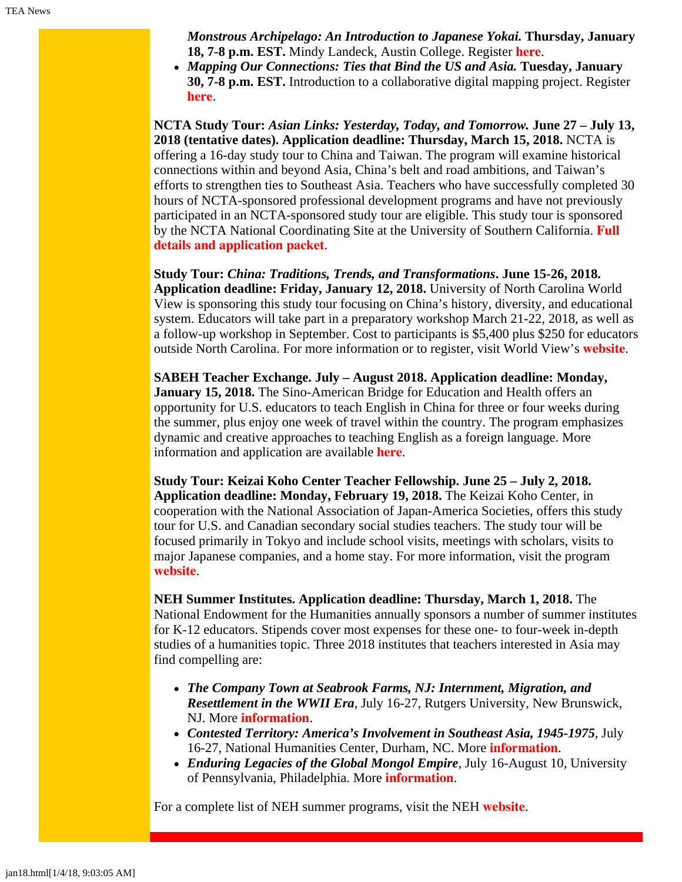*Monstrous Archipelago: An Introduction to Japanese Yokai.* **Thursday, January 18, 7-8 p.m. EST.** Mindy Landeck, Austin College. Register **[here](https://attendee.gotowebinar.com/register/4494250866909064707)**.

*Mapping Our Connections: Ties that Bind the US and Asia.* **Tuesday, January 30, 7-8 p.m. EST.** Introduction to a collaborative digital mapping project. Register **[here](https://attendee.gotowebinar.com/register/2420443293863571971)**.

**NCTA Study Tour:** *Asian Links: Yesterday, Today, and Tomorrow.* **June 27 – July 13, 2018 (tentative dates). Application deadline: Thursday, March 15, 2018.** NCTA is offering a 16-day study tour to China and Taiwan. The program will examine historical connections within and beyond Asia, China's belt and road ambitions, and Taiwan's efforts to strengthen ties to Southeast Asia. Teachers who have successfully completed 30 hours of NCTA-sponsored professional development programs and have not previously participated in an NCTA-sponsored study tour are eligible. This study tour is sponsored by the NCTA National Coordinating Site at the University of Southern California. **[Full](http://china.usc.edu/seminars/2018-ncta-summer-study-tour-china-and-taiwan) [details and application packet](http://china.usc.edu/seminars/2018-ncta-summer-study-tour-china-and-taiwan)**.

**Study Tour:** *China: Traditions, Trends, and Transformations***. June 15-26, 2018. Application deadline: Friday, January 12, 2018.** University of North Carolina World View is sponsoring this study tour focusing on China's history, diversity, and educational system. Educators will take part in a preparatory workshop March 21-22, 2018, as well as a follow-up workshop in September. Cost to participants is \$5,400 plus \$250 for educators outside North Carolina. For more information or to register, visit World View's **[website](http://worldview.unc.edu/china-2018)**.

**SABEH Teacher Exchange. July – August 2018. Application deadline: Monday, January 15, 2018.** The Sino-American Bridge for Education and Health offers an opportunity for U.S. educators to teach English in China for three or four weeks during the summer, plus enjoy one week of travel within the country. The program emphasizes dynamic and creative approaches to teaching English as a foreign language. More information and application are available **[here](https://www.sabeh.org/teach-in-china)**.

**Study Tour: Keizai Koho Center Teacher Fellowship. June 25 – July 2, 2018. Application deadline: Monday, February 19, 2018.** The Keizai Koho Center, in cooperation with the National Association of Japan-America Societies, offers this study tour for U.S. and Canadian secondary social studies teachers. The study tour will be focused primarily in Tokyo and include school visits, meetings with scholars, visits to major Japanese companies, and a home stay. For more information, visit the program **[website](http://www.us-japan.org/programs/kkc/k2018/index.html)**.

**NEH Summer Institutes. Application deadline: Thursday, March 1, 2018.** The National Endowment for the Humanities annually sponsors a number of summer institutes for K-12 educators. Stipends cover most expenses for these one- to four-week in-depth studies of a humanities topic. Three 2018 institutes that teachers interested in Asia may find compelling are:

- *The Company Town at Seabrook Farms, NJ: Internment, Migration, and Resettlement in the WWII Era*, July 16-27, Rutgers University, New Brunswick, NJ. More **[information](http://nehseabrookfarms.org/)**.
- *Contested Territory: America's Involvement in Southeast Asia, 1945-1975*, July 16-27, National Humanities Center, Durham, NC. More **[information](http://nationalhumanitiescenter.org/education-programs/contested-territory/)**.
- *Enduring Legacies of the Global Mongol Empire*, July 16-August 10, University of Pennsylvania, Philadelphia. More **[information](http://mongoliacenter.org/programs/neh-institute-2018)**.

For a complete list of NEH summer programs, visit the NEH **[website](http://www.neh.gov/divisions/education/summer-programs)**.